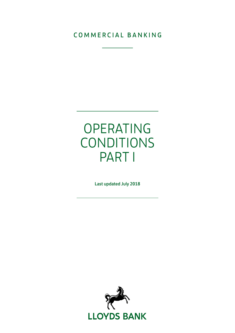### COMMERCIAL BANKING

# OPERATING CONDITIONS PART I

Last updated July 2018

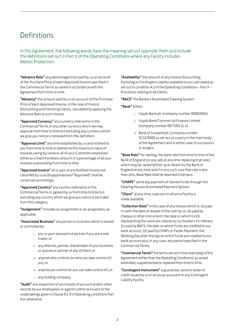## **Definitions**

In this Agreement, the following words have the meaning set out opposite them and include the definitions set out in Part X of the Operating Conditions where any Facility includes Debtor Protection:

"Advance Rate" any percentage to be paid by us on account of the Purchase Price of each Approved Invoice specified in the Commercial Terms as varied in accordance with this Agreement from time to time.

"Advance" the amount paid by us on account of the Purchase Price of each Approved Invoice, in the case of Invoice Discounting and Factoring Clients, calculated by applying the Advance Rate to such Invoice.

"Approved Currency" any currency referred to in the Commercial Terms or any other currency which we may approve from time to time but excluding any currency which we give you notice is removed from this definition.

"Approval Limit" any limit established by us and notified to you from time to time in relation to the maximum value of Invoices owing by some or all of your Customers expressed either as a fixed monetary amount or a percentage of all your Invoices outstanding from time to time.

"Approved Invoice" all or part of any Notified Invoice not classified by us as Disapproved and "Approved" shall be construed accordingly.

"Approved Country" any country referred to in the Commercial Terms or agreed by us from time to time but excluding any country which we give you notice is excluded from this category.

"Assignment" includes an assignment or an assignation, as applicable.

"Associated Business" any person or business which is owned or controlled by:

- i. you or your spouse/civil partner if you are a sole trader; or
- ii. any director, partner, shareholder of your business or spouse or partner of any of them; or
- iii. anyone who controls (or who can take control of) you; or
- iv. anyone you control (or you can take control of); or
- v. any holding company.

"Audit" any inspection of your books of account and/or other records by our employee/s or agent/s either pursuant to the undertakings given in Clause 9.1.9 of Operating conditions Part II or otherwise.

"Availability" the amount of any Invoice Discounting, Factoring or Contingent Liability available to you calculated as set out in condition 4.5 of the Operating Conditions – Part II – Provisions relating to all Clients.

"BACS" the Bankers Automated Clearing System.

"Bank" Either:

- i. Lloyds Bank plc (company number 00002065);
- ii. Lloyds Bank Commercial Finance Limited (company number 00733011); or
- iii. Bank of Scotland plc (company number SC327000) as set out as a party in the main body of the Agreement and in either case its successors or assigns.

"Base Rate" for sterling, the bank rate from time to time of the Bank of England (or any rate at any time replacing that rate), which may be varied (either up or down) by the Bank of England at any time and if in any such case that rate is less than zero, Base Rate shall be deemed to be zero.

"CHAPS" same day payment of cleared funds through the Clearing Houses Automated Payment System.

"Client" at any time, a person to whom a Facility is made available.

"Collection Date" in the case of any Invoice which is: (a) paid in cash: the date of receipt of the cash by us; (b) paid by cheque or other instrument: the date on which funds representing the same are cleared by our bankers for interest; (c) paid by BACS: the date on which funds are credited to our bank account; (d) paid by CHAPs or Faster Payment: the Working Day after the day on which funds are credited to our bank account plus, in any case, any period specified in the Commercial Terms;

"Commercial Terms" the terms set out in the main body of the Agreement (other than the Operating Conditions) as varied, amended, supplemented or replaced from time to time.

"Contingent Instrument" a guarantee, bond or letter of credit issued by us or an Issuer pursuant to any Contingent Liability Facility.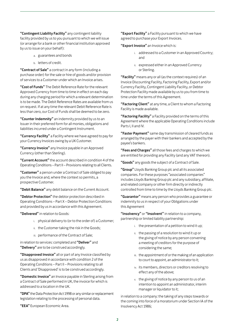"Contingent Liability Facility" any contingent liability facility provided by us to you pursuant to which we will issue (or arrange for a bank or other financial institution approved by us to issue on your behalf):

- a. guarantees and bonds
- b. letters of credit.

"Contract of Sale" a contract in any form (including a purchase order) for the sale or hire of goods and/or provision of services to a Customer under which an Invoice arises.

"Cost of Funds" The Debit Reference Rate for the relevant Approved Currency from time to time in effect on each day during any charging period for which a relevant determination is to be made. The Debit Reference Rates are available from us on request. If at any time the relevant Debit Reference Rate is less than zero, our Cost of Funds shall be deemed to be zero.

"Counter Indemnity" an indemnity provided by us to an Issuer in their preferred form for all monies, obligations and liabilities incurred under a Contingent Instrument.

"Currency Facility" a Facility where we have agreed to pay for your Currency Invoices owing by a UK Customer.

"Currency Invoice" any Invoice payable in an Approved Currency (other than Sterling).

"Current Account" the account described in condition 4 of the Operating Conditions – Part II – Provisions relating to all Clients.

"Customer" a person under a Contract of Sale obliged to pay you the Invoice and, where the context so permits, a prospective Customer.

"Debit Balance" any debit balance on the Current Account.

"Debtor Protection" the debtor protection described in Operating Conditions – Part X – Debtor Protection Conditions and provided by us in accordance with this Agreement.

"Delivered" in relation to Goods:

- i. physical delivery to (or to the order of) a Customer;
- ii. the Customer taking the risk in the Goods;
- iii. performance of the Contract of Sale;

in relation to services: completed and "Deliver" and "Delivery" are to be construed accordingly.

"Disapproved Invoice" all or part of any Invoice classified by us as disapproved in accordance with condition 2 of the Operating Conditions – Part II – Provisions relating to all Clients and 'Disapproved' is to be construed accordingly.

"Domestic Invoice" an Invoice payable in Sterling arising from a Contract of Sale performed in UK, the invoice for which is addressed to a location in the UK.

"DPA" the Data Protection Act 1998 or any similar or replacement legislation relating to the processing of personal data.

"Export Facility" a Facility pursuant to which we have agreed to purchase your Export Invoices.

"Export Invoice" an Invoice which is:

- i. addressed to a Customer in an Approved Country; and
- ii. expressed either in an Approved Currency or Sterling.

"Facility" means any or all (as the context requires) of an Invoice Discounting Facility, Factoring Facility, Export and/or Currency Facility, Contingent Liability Facility, or Debtor Protection Facility made available by us to you from time to time under the terms of this Agreement.

"Factoring Client" at any time, a Client to whom a Factoring Facility is made available.

"Factoring Facility" a Facility provided on the terms of this Agreement where the applicable Operating Conditions include Parts I, II and IV.

"Faster Payment" same day transmission of cleared funds as arranged by the payer with their bankers and accepted by the payee's bankers.

"Fees and Charges" all those fees and charges to which we are entitled for providing any Facility (and any VAT thereon).

"Goods" any goods the subject of a Contract of Sale.

"Group" Lloyds Banking Group plc and all its associated companies. For these purposes "associated companies" includes Lloyds Banking Group plc and any subsidiary, affiliate, and related company or other firm directly or indirectly controlled from time to time by the Lloyds Banking Group plc.

"Guarantor" means any person who provides a guarantee or indemnity to us in respect of your Obligations under this Agreement

"Insolvency" or "Insolvent" in relation to a company, partnership or limited liability partnership:

- i. the presentation of a petition to wind it up;
- ii. the passing of a resolution to wind it up or the giving of notice by any person convening a meeting of creditors for the purpose of considering the same;
- iii. the appointment of or the making of an application to court to appoint, an administrator to it;
- iv. its members, directors or creditors resolving to effect any of the above;
- v. the giving of notice by any person to us of an intention to appoint an administrator, interim manager or liquidator to it;

in relation to a company: the taking of any steps towards or the coming into force of a moratorium under Section IA of the Insolvency Act 1986;

"EEA" European Economic Area.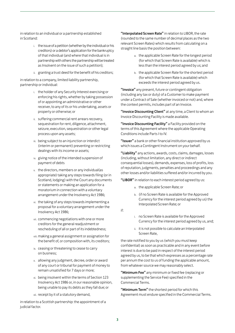in relation to an individual or a partnership established in Scotland:

- i. the issue of a petition (whether by the individual or his creditors) or a debtor's application for the bankruptcy of that individual (and where that individual is in partnership with others the partnership will be treated as Insolvent on the issue of such a petition);
- ii. granting a trust deed for the benefit of his creditors;

in relation to a company, limited liability partnership, partnership or individual:

- i. the holder of any Security Interest exercising or enforcing his rights, whether by taking possession of or appointing an administrative or other receiver, to any of its or his undertaking, assets or property or otherwise; or
- ii. suffering commercial rent arrears recovery, sequestration for rent, diligence, attachment, seizure, execution, sequestration or other legal process upon any assets;
- iii. being subject to an injunction or interdict (interim or permanent) preventing or restricting dealings with its income or assets;
- iv. giving notice of the intended suspension of payment of debts
- v. the directors, members or any individual(as appropriate) taking any steps towards filing (or in Scotland, lodging) with the Court any documents or statements or making an application for a moratorium in connection with a voluntary arrangement under the Insolvency Act 1986;
- vi. the taking of any steps towards implementing a proposal for a voluntary arrangement under the Insolvency Act 1986;
- vii. commencing negotiations with one or more creditors for the general readjustment or rescheduling of all or part of its indebtedness;
- viii. making a general assignment or assignation for the benefit of, or composition with, its creditors;
- ix. ceasing or threatening to cease to carry on business;
- x. allowing any judgment, decree, order or award of any court or tribunal for payment of money to remain unsatisfied for 7 days or more;
- xi. being insolvent within the terms of Section 123 Insolvency Act 1986 or, in our reasonable opinion, being unable to pay its debts as they fall due; or
- xii. receipt by it of a statutory demand,

in relation to a Scottish partnership: the appointment of a judicial factor.

"Interpolated Screen Rate" in relation to LIBOR, the rate (rounded to the same number of decimal places as the two relevant Screen Rates) which results from calculating on a straight line basis the position between:

- a. the applicable Screen Rate for the longest period (for which that Screen Rate is available) which is less than the interest period agreed by us; and
- b. the applicable Screen Rate for the shortest period (for which that Screen Rate is available) which exceeds the interest period agreed by us.

"Invoice" any present, future or contingent obligation (including any tax or duty) of a Customer to make payment under a Contract of Sale (whether invoiced or not) and, where the context permits, includes part of an Invoice.

"Invoice Discounting Client" at any time, a Client to whom an Invoice Discounting Facility is made available.

"Invoice Discounting Facility" a Facility provided on the terms of this Agreement where the applicable Operating Conditions include Parts I to IV.

"Issuer" a bank or other financial institution approved by us which issues a Contingent Instrument on your behalf.

"Liability" any actions, awards, costs, claims, damages, losses (including, without limitation, any direct or indirect consequential losses), demands, expenses, loss of profits, loss of reputation, judgments, penalties and proceedings and any other losses and/or liabilities suffered and/or incurred by you.

"LIBOR" in relation to each interest period agreed by us:

- a. the applicable Screen Rate; or
- b. (if no Screen Rate is available for the Approved Currency for the interest period agreed by us) the Interpolated Screen Rate; or

if:

- i. no Screen Rate is available for the Approved Currency for the interest period agreed by us, and;
- ii. it is not possible to calculate an Interpolated Screen Rate,

the rate notified to you by us (which you must keep confidential) as soon as practicable and in any event before interest is due to be paid in respect of the interest period agreed by us, to be that which expresses as a percentage rate per annum the cost to us of funding the applicable amount, from whatever source we may reasonably select.

"Minimum Fee" any minimum or fixed fee (replacing or supplementing the Service Fee) specified in the Commercial Terms.

"Minimum Term" the shortest period for which this Agreement must endure specified in the Commercial Terms.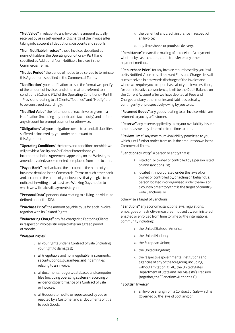"Net Value" in relation to any Invoice, the amount actually received by us in settlement or discharge of the Invoice after taking into account all deductions, discounts and set-offs.

"Non-Notifiable Invoices" those Invoices described as non-notifiable in the Operating Conditions – Part II and specified as Additional Non-Notifiable Invoices in the Commercial Terms.

"Notice Period" the period of notice to be served to terminate this Agreement specified in the Commercial Terms.

"Notification" your notification to us in the format we specify of the amount of Invoices and other matters referred to in conditions 9.1.6 and 9.1.7 of the Operating Conditions – Part II – Provisions relating to all Clients. "Notified" and "Notify" are to be construed accordingly.

"Notified Value" the full amount of each Invoice given in a Notification (including any applicable tax or duty) and before any discount for prompt payment or otherwise.

"Obligations" all your obligations owed to us and all Liabilities suffered or incurred by you under or pursuant to this Agreement.

"Operating Conditions" the terms and conditions on which we will provide a Facility and/or Debtor Protection to you incorporated in the Agreement, appearing on the Website, as amended, varied, supplemented or replaced from time to time.

"Payee Bank" the bank and the account in the name of your business detailed in the Commercial Terms or such other bank and account in the name of your business that you give to us notice of in writing on at least two Working Days notice to which we will make all payments to you.

"Personal Data" personal data relating to a living individual as defined under the DPA.

"Purchase Price" the amount payable by us for each Invoice together with its Related Rights.

"Refactoring Charge" any fee charged to Factoring Clients in respect of Invoices still unpaid after an agreed period of months.

#### "Related Rights"

- i. all your rights under a Contract of Sale (including your right to damages);
- ii. all (negotiable and non negotiable) instruments, security, bonds, guarantees and indemnities relating to an Invoice;
- iii. all documents, ledgers, databases and computer files (including operating systems) recording or evidencing performance of a Contract of Sale or Invoices;
- iv. all Goods returned to or repossessed by you or rejected by a Customer and all documents of title to such Goods;
- v. the benefit of any credit insurance in respect of an Invoice;
- vi. any time sheets or proofs of delivery.

"Remittance" means the making of or receipt of a payment whether by cash, cheque, credit transfer or any other payment method.

"Repurchase Price" for any Invoice repurchased by you it will be its Notified Value plus all relevant Fees and Charges less all sums received in or towards discharge of the Invoice and where we require you to repurchase all of your Invoices, then, for administrative convenience, it will be the Debit Balance on the Current Account after we have debited all Fees and Charges and any other monies and liabilities actually, contingently or prospectively owing by you to us.

"Returned Goods" any goods relating to an Invoice which are returned to you by a Customer.

"Reserve" any reserve applied by us to your Availability in such amount as we may determine from time to time.

"Review Limit" any maximum Availability permitted to you which, until further notice from us, is the amount shown in the Commercial Terms.

"Sanctioned Entity" a person or entity that is:

- i. listed on, or owned or controlled by a person listed on any sanctions list;
- ii. located in, incorporated under the laws of, or owned or controlled by, or acting on behalf of, a person located in or organised under the laws of a country or territory that is the target of countrywide Sanctions; or

otherwise a target of Sanctions.

"Sanctions" any economic sanctions laws, regulations, embargoes or restrictive measures imposed by, administered, enacted or enforced from time to time by the international community including:

- i. the United States of America;
- ii. the United Nations;
- iii. the European Union;
- iv. the United Kingdom;
- v. the respective governmental institutions and agencies of any of the foregoing, including, without limitation, OFAC, the United States Department of State and Her Majesty's Treasury (together, the "Sanctions Authorities").

#### "Scottish Invoice"

i. an Invoice arising from a Contract of Sale which is governed by the laws of Scotland; or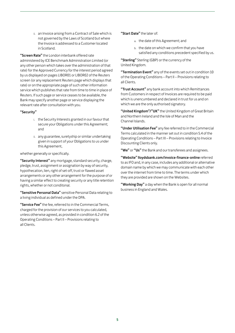ii. an Invoice arising from a Contract of Sale which is not governed by the Laws of Scotland but where the Invoice is addressed to a Customer located in Scotland.

"Screen Rate" the London interbank offered rate administered by ICE Benchmark Administration Limited (or any other person which takes over the administration of that rate) for the Approved Currency for the interest period agreed by us displayed on pages LIBOR01 or LIBOR02 of the Reuters screen (or any replacement Reuters page which displays that rate) or on the appropriate page of such other information service which publishes that rate from time to time in place of Reuters. If such page or service ceases to be available, the Bank may specify another page or service displaying the relevant rate after consultation with you.

#### "Security"

- i. the Security Interests granted in our favour that secure your Obligations under this Agreement; and
- ii. any guarantee, suretyship or similar undertaking given in support of your Obligations to us under this Agreement,

whether generally or specifically.

"Security Interest" any mortgage, standard security, charge, pledge, trust, assignment or assignation by way of security, hypothecation, lien, right of set-off, trust or flawed asset arrangements or any other arrangement for the purpose of or having a similar effect to creating security or any title retention rights, whether or not conditonal.

"Sensitive Personal Data" sensitive Personal Data relating to a living individual as defined under the DPA.

"Service Fee" the fee, referred to in the Commercial Terms, charged for the provision of our services to you calculated, unless otherwise agreed, as provided in condition 6.2 of the Operating Conditions – Part II – Provisions relating to all Clients.

- "Start Date" the later of:
	- a. the date of this Agreement; and
	- b. the date on which we confirm that you have satisfied any conditions precedent specified by us.

"Sterling" Sterling (GBP) or the currency of the United Kingdom.

"Termination Event" any of the events set out in condition 10 of the Operating Conditions – Part II – Provisions relating to all Clients.

"Trust Account" any bank account into which Remittances from Customers in respect of Invoices are required to be paid which is unencumbered and declared in trust for us and on which we are the only authorised signatory.

"United Kingdom"/"UK" the United Kingdom of Great Britain and Northern Ireland and the Isle of Man and the Channel Islands.

"Under Utilisation Fee" any fee referred to in the Commercial Terms calculated in the manner set out in condition 5.4 of the Operating Conditions – Part III – Provisions relating to Invoice Discounting Clients only.

"We" or "Us" the Bank and our transferees and assignees.

"Website" lloydsbank.com/invoice-finance-online referred to as IFO and, in any case, includes any additional or alternative domain name by which we may communicate with each other over the internet from time to time. The terms under which they are provided are shown on the Websites.

"Working Day" a day when the Bank is open for all normal business in England and Wales.